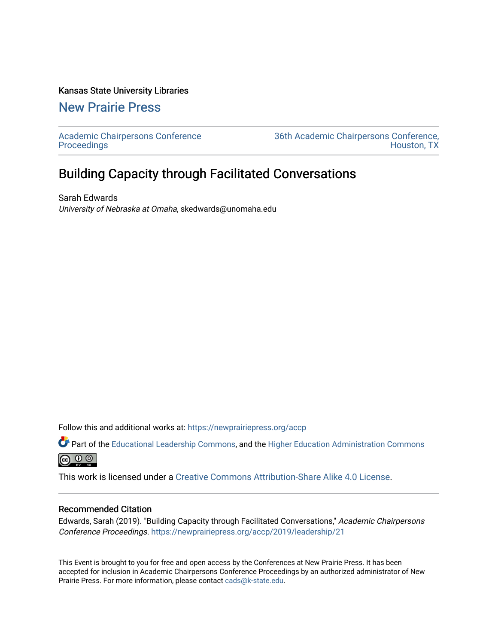### Kansas State University Libraries

[New Prairie Press](https://newprairiepress.org/) 

[Academic Chairpersons Conference](https://newprairiepress.org/accp)  **Proceedings** 

[36th Academic Chairpersons Conference,](https://newprairiepress.org/accp/2019)  [Houston, TX](https://newprairiepress.org/accp/2019) 

# Building Capacity through Facilitated Conversations

Sarah Edwards University of Nebraska at Omaha, skedwards@unomaha.edu

Follow this and additional works at: [https://newprairiepress.org/accp](https://newprairiepress.org/accp?utm_source=newprairiepress.org%2Faccp%2F2019%2Fleadership%2F21&utm_medium=PDF&utm_campaign=PDFCoverPages) 

Part of the [Educational Leadership Commons,](http://network.bepress.com/hgg/discipline/1230?utm_source=newprairiepress.org%2Faccp%2F2019%2Fleadership%2F21&utm_medium=PDF&utm_campaign=PDFCoverPages) and the [Higher Education Administration Commons](http://network.bepress.com/hgg/discipline/791?utm_source=newprairiepress.org%2Faccp%2F2019%2Fleadership%2F21&utm_medium=PDF&utm_campaign=PDFCoverPages)  $\circledcirc$ 

This work is licensed under a [Creative Commons Attribution-Share Alike 4.0 License.](https://creativecommons.org/licenses/by-sa/4.0/)

### Recommended Citation

Edwards, Sarah (2019). "Building Capacity through Facilitated Conversations," Academic Chairpersons Conference Proceedings.<https://newprairiepress.org/accp/2019/leadership/21>

This Event is brought to you for free and open access by the Conferences at New Prairie Press. It has been accepted for inclusion in Academic Chairpersons Conference Proceedings by an authorized administrator of New Prairie Press. For more information, please contact [cads@k-state.edu.](mailto:cads@k-state.edu)